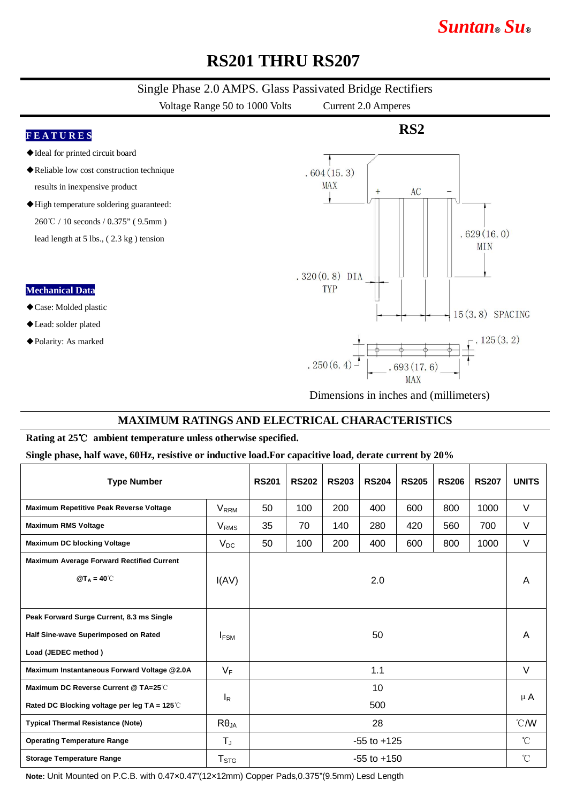# **RS201 THRU RS207**

#### Single Phase 2.0 AMPS. Glass Passivated Bridge Rectifiers

Voltage Range 50 to 1000 Volts Current 2.0 Amperes

# **F E A T U R E S** ◆Ideal for printed circuit board

- ◆Reliable low cost construction technique results in inexpensive product
- ◆High temperature soldering guaranteed: 260℃ / 10 seconds / 0.375" ( 9.5mm )

lead length at 5 lbs., ( 2.3 kg ) tension

#### **Mechanical Data**

#### ◆Case: Molded plastic

- ◆Lead: solder plated
- ◆Polarity: As marked



**RS2**

*Suntan***®** *Su***®**

Dimensions in inches and (millimeters)

#### **MAXIMUM RATINGS AND ELECTRICAL CHARACTERISTICS**

#### **Rating at 25**℃ **ambient temperature unless otherwise specified.**

#### **Single phase, half wave, 60Hz, resistive or inductive load.For capacitive load, derate current by 20%**

| <b>Type Number</b>                                         |                             | <b>RS201</b>    | <b>RS202</b> | <b>RS203</b> | <b>RS204</b> | <b>RS205</b> | <b>RS206</b> | <b>RS207</b> | <b>UNITS</b>    |
|------------------------------------------------------------|-----------------------------|-----------------|--------------|--------------|--------------|--------------|--------------|--------------|-----------------|
| Maximum Repetitive Peak Reverse Voltage                    | $\mathsf{V}_{\mathsf{RRM}}$ | 50              | 100          | 200          | 400          | 600          | 800          | 1000         | $\vee$          |
| <b>Maximum RMS Voltage</b>                                 | V <sub>RMS</sub>            | 35              | 70           | 140          | 280          | 420          | 560          | 700          | V               |
| <b>Maximum DC blocking Voltage</b>                         | $V_{DC}$                    | 50              | 100          | 200          | 400          | 600          | 800          | 1000         | V               |
| <b>Maximum Average Forward Rectified Current</b>           |                             |                 |              |              |              |              |              |              |                 |
| $@T_A = 40^\circ \text{C}$                                 | 2.0<br>I(AV)                |                 |              |              |              |              |              | A            |                 |
|                                                            |                             |                 |              |              |              |              |              |              |                 |
| Peak Forward Surge Current, 8.3 ms Single                  |                             |                 |              |              |              |              |              |              |                 |
| Half Sine-wave Superimposed on Rated                       | <b>IFSM</b>                 | 50              |              |              |              |              |              |              | A               |
| Load (JEDEC method)                                        |                             |                 |              |              |              |              |              |              |                 |
| Maximum Instantaneous Forward Voltage @2.0A                | $V_F$                       | 1.1             |              |              |              |              |              |              | $\vee$          |
| Maximum DC Reverse Current @ TA=25℃                        |                             | 10              |              |              |              |              |              |              | $\mu$ A         |
| Rated DC Blocking voltage per leg TA = $125^\circ\text{C}$ | $I_R$                       | 500             |              |              |              |              |              |              |                 |
| <b>Typical Thermal Resistance (Note)</b>                   | $R\theta_{JA}$              | 28              |              |              |              |              |              |              | °C/W            |
| <b>Operating Temperature Range</b>                         | $T_{\rm J}$                 | $-55$ to $+125$ |              |              |              |              |              |              | $\rm ^{\circ}C$ |
| <b>Storage Temperature Range</b>                           | $\mathsf{T}_{\texttt{STG}}$ | $-55$ to $+150$ |              |              |              |              |              |              | $\rm ^{\circ}C$ |

**Note:** Unit Mounted on P.C.B. with 0.47×0.47"(12×12mm) Copper Pads,0.375"(9.5mm) Lesd Length